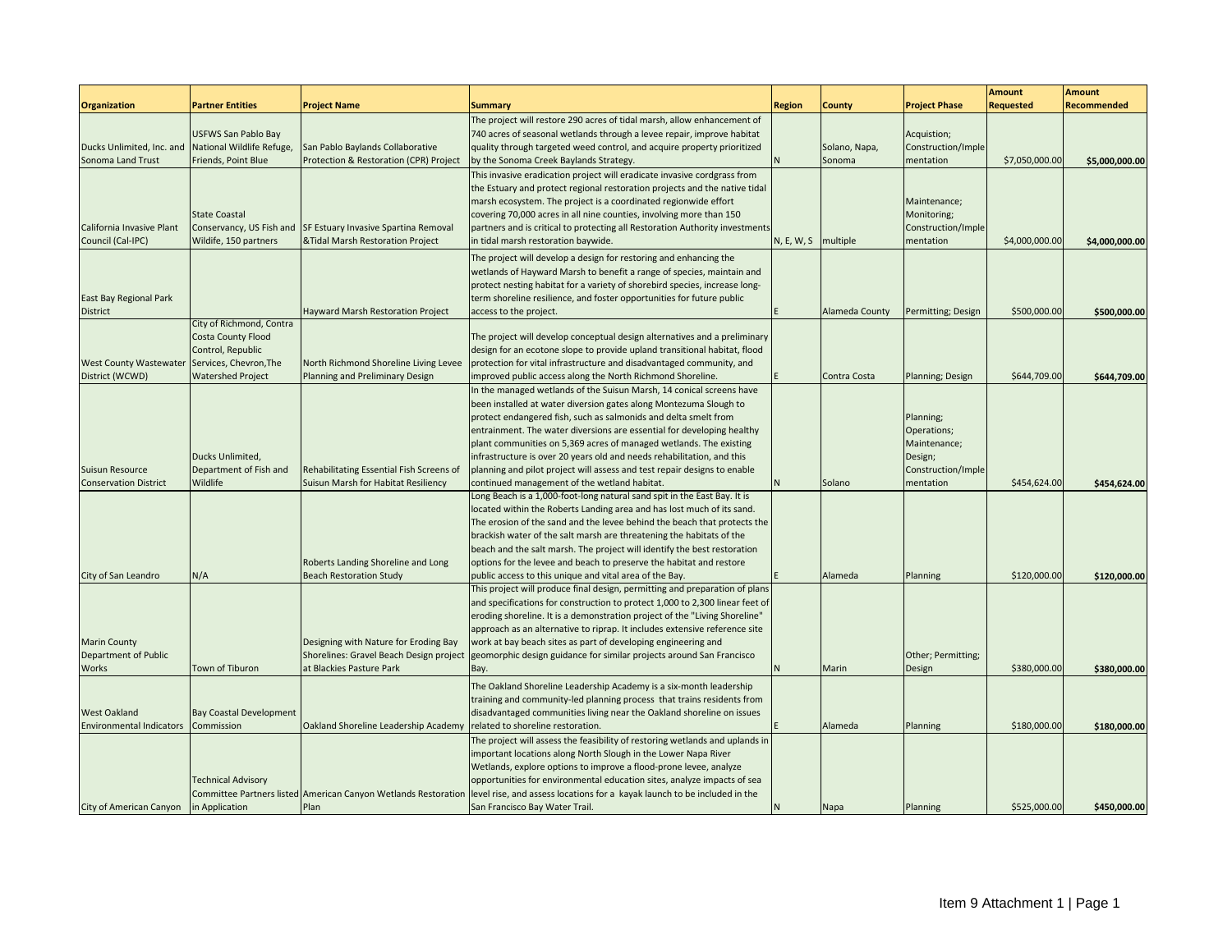|                                                                             |                                                                                                                                  |                                                                                                                                                |                                                                                                                                                                                                                                                                                                                                                                                                                                                                                                                                     |            |                         |                                                                           | <b>Amount</b>                | <b>Amount</b>                |
|-----------------------------------------------------------------------------|----------------------------------------------------------------------------------------------------------------------------------|------------------------------------------------------------------------------------------------------------------------------------------------|-------------------------------------------------------------------------------------------------------------------------------------------------------------------------------------------------------------------------------------------------------------------------------------------------------------------------------------------------------------------------------------------------------------------------------------------------------------------------------------------------------------------------------------|------------|-------------------------|---------------------------------------------------------------------------|------------------------------|------------------------------|
| <b>Organization</b>                                                         | <b>Partner Entities</b>                                                                                                          | <b>Project Name</b>                                                                                                                            | <b>Summary</b>                                                                                                                                                                                                                                                                                                                                                                                                                                                                                                                      | Region     | County                  | <b>Project Phase</b>                                                      | <b>Requested</b>             | <b>Recommended</b>           |
| Ducks Unlimited, Inc. and<br>Sonoma Land Trust                              | USFWS San Pablo Bay<br>National Wildlife Refuge,<br>Friends, Point Blue                                                          | San Pablo Baylands Collaborative<br>Protection & Restoration (CPR) Project                                                                     | The project will restore 290 acres of tidal marsh, allow enhancement of<br>740 acres of seasonal wetlands through a levee repair, improve habitat<br>quality through targeted weed control, and acquire property prioritized<br>by the Sonoma Creek Baylands Strategy.                                                                                                                                                                                                                                                              |            | Solano, Napa,<br>Sonoma | Acquistion;<br>Construction/Imple<br>mentation                            | \$7,050,000.00               | \$5,000,000.00               |
| California Invasive Plant<br>Council (Cal-IPC)                              | <b>State Coastal</b><br>Conservancy, US Fish and<br>Wildife, 150 partners                                                        | SF Estuary Invasive Spartina Removal<br>&Tidal Marsh Restoration Project                                                                       | This invasive eradication project will eradicate invasive cordgrass from<br>the Estuary and protect regional restoration projects and the native tidal<br>marsh ecosystem. The project is a coordinated regionwide effort<br>covering 70,000 acres in all nine counties, involving more than 150<br>partners and is critical to protecting all Restoration Authority investments<br>in tidal marsh restoration baywide.                                                                                                             | N, E, W, S | multiple                | Maintenance;<br>Monitoring;<br>Construction/Imple<br>mentation            | \$4,000,000.00               | \$4,000,000.00               |
| <b>East Bay Regional Park</b><br>District                                   |                                                                                                                                  | Hayward Marsh Restoration Project                                                                                                              | The project will develop a design for restoring and enhancing the<br>wetlands of Hayward Marsh to benefit a range of species, maintain and<br>protect nesting habitat for a variety of shorebird species, increase long-<br>term shoreline resilience, and foster opportunities for future public<br>access to the project.                                                                                                                                                                                                         |            | Alameda County          | Permitting; Design                                                        | \$500,000.00                 | \$500,000.00                 |
| <b>West County Wastewater</b><br>District (WCWD)                            | City of Richmond, Contra<br><b>Costa County Flood</b><br>Control, Republic<br>Services, Chevron, The<br><b>Watershed Project</b> | North Richmond Shoreline Living Levee<br>Planning and Preliminary Design                                                                       | The project will develop conceptual design alternatives and a preliminary<br>design for an ecotone slope to provide upland transitional habitat, flood<br>protection for vital infrastructure and disadvantaged community, and<br>improved public access along the North Richmond Shoreline.                                                                                                                                                                                                                                        |            | Contra Costa            | Planning; Design                                                          | \$644,709.00                 | \$644,709.00                 |
| Suisun Resource                                                             | Ducks Unlimited,<br>Department of Fish and                                                                                       | Rehabilitating Essential Fish Screens of                                                                                                       | In the managed wetlands of the Suisun Marsh, 14 conical screens have<br>been installed at water diversion gates along Montezuma Slough to<br>protect endangered fish, such as salmonids and delta smelt from<br>entrainment. The water diversions are essential for developing healthy<br>plant communities on 5,369 acres of managed wetlands. The existing<br>infrastructure is over 20 years old and needs rehabilitation, and this<br>planning and pilot project will assess and test repair designs to enable                  |            |                         | Planning;<br>Operations;<br>Maintenance;<br>Design;<br>Construction/Imple |                              |                              |
| <b>Conservation District</b>                                                | Wildlife                                                                                                                         | Suisun Marsh for Habitat Resiliency<br>Roberts Landing Shoreline and Long                                                                      | continued management of the wetland habitat.<br>Long Beach is a 1,000-foot-long natural sand spit in the East Bay. It is<br>located within the Roberts Landing area and has lost much of its sand.<br>The erosion of the sand and the levee behind the beach that protects the<br>brackish water of the salt marsh are threatening the habitats of the<br>beach and the salt marsh. The project will identify the best restoration<br>options for the levee and beach to preserve the habitat and restore                           |            | Solano                  | mentation                                                                 | \$454,624.00                 | \$454,624.00                 |
| City of San Leandro<br><b>Marin County</b><br>Department of Public<br>Works | N/A<br>Town of Tiburon                                                                                                           | <b>Beach Restoration Study</b><br>Designing with Nature for Eroding Bay<br>Shorelines: Gravel Beach Design project<br>at Blackies Pasture Park | public access to this unique and vital area of the Bay.<br>This project will produce final design, permitting and preparation of plans<br>and specifications for construction to protect 1,000 to 2,300 linear feet of<br>eroding shoreline. It is a demonstration project of the "Living Shoreline"<br>approach as an alternative to riprap. It includes extensive reference site<br>work at bay beach sites as part of developing engineering and<br>geomorphic design guidance for similar projects around San Francisco<br>Bay. |            | Alameda<br>Marin        | Planning<br>Other; Permitting;<br>Design                                  | \$120,000.00<br>\$380,000.00 | \$120,000.00<br>\$380,000.00 |
| <b>West Oakland</b><br><b>Environmental Indicators</b>                      | <b>Bay Coastal Development</b><br>Commission                                                                                     | Oakland Shoreline Leadership Academy                                                                                                           | The Oakland Shoreline Leadership Academy is a six-month leadership<br>training and community-led planning process that trains residents from<br>disadvantaged communities living near the Oakland shoreline on issues<br>related to shoreline restoration.<br>The project will assess the feasibility of restoring wetlands and uplands in                                                                                                                                                                                          |            | Alameda                 | Planning                                                                  | \$180,000.00                 | \$180,000.00                 |
| City of American Canyon                                                     | <b>Technical Advisory</b><br>in Application                                                                                      | Committee Partners listed American Canyon Wetlands Restoration<br>Plan                                                                         | important locations along North Slough in the Lower Napa River<br>Wetlands, explore options to improve a flood-prone levee, analyze<br>opportunities for environmental education sites, analyze impacts of sea<br>level rise, and assess locations for a kayak launch to be included in the<br>San Francisco Bay Water Trail.                                                                                                                                                                                                       |            | Napa                    | Planning                                                                  | \$525,000.00                 | \$450,000.00                 |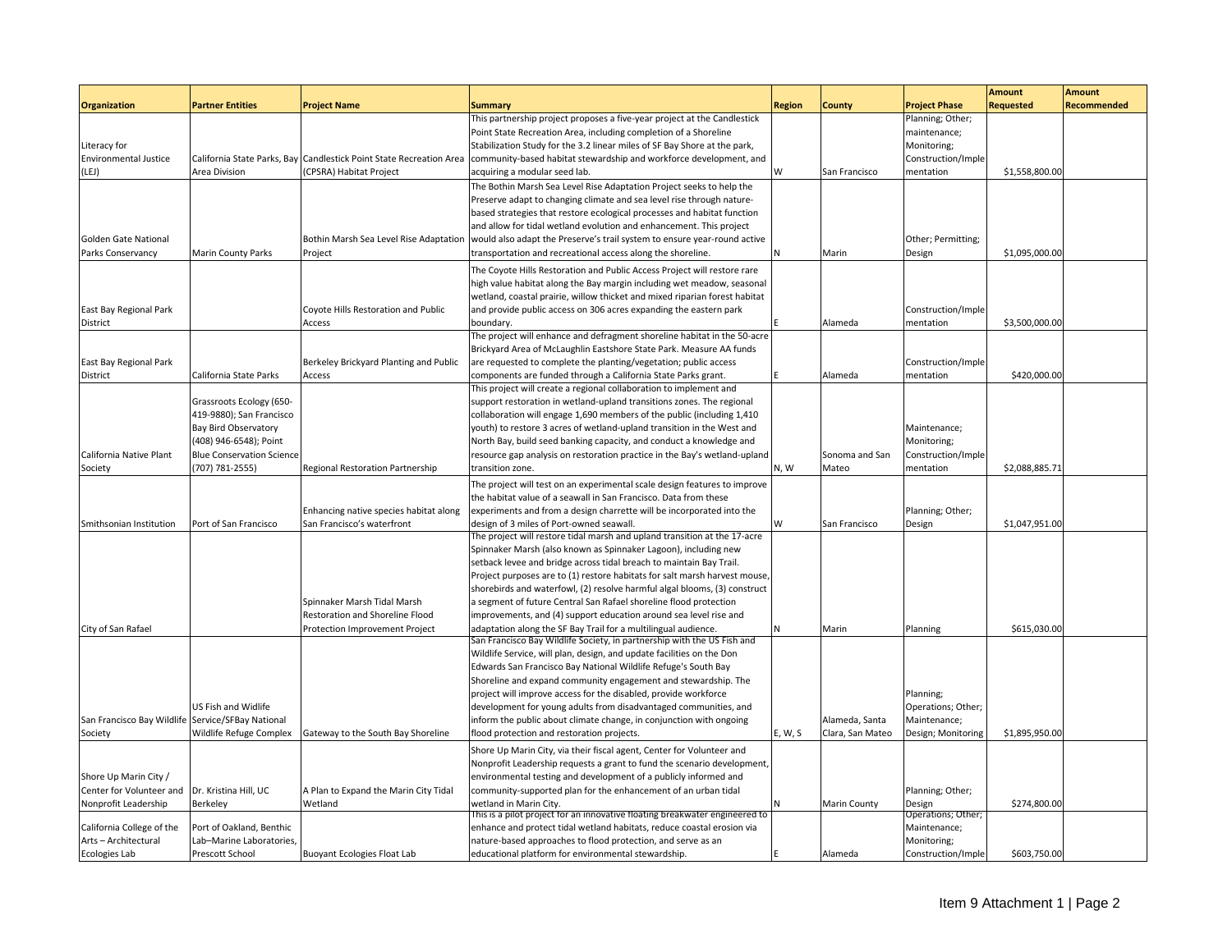|                                                   |                                  |                                                                     |                                                                             |               |                     |                      | <b>Amount</b>    | <b>Amount</b>      |
|---------------------------------------------------|----------------------------------|---------------------------------------------------------------------|-----------------------------------------------------------------------------|---------------|---------------------|----------------------|------------------|--------------------|
| <b>Organization</b>                               | <b>Partner Entities</b>          | <b>Project Name</b>                                                 | <b>Summary</b>                                                              | <b>Region</b> | <b>County</b>       | <b>Project Phase</b> | <b>Requested</b> | <b>Recommended</b> |
|                                                   |                                  |                                                                     | This partnership project proposes a five-year project at the Candlestick    |               |                     | Planning; Other;     |                  |                    |
|                                                   |                                  |                                                                     | Point State Recreation Area, including completion of a Shoreline            |               |                     | maintenance;         |                  |                    |
| Literacy for                                      |                                  |                                                                     | Stabilization Study for the 3.2 linear miles of SF Bay Shore at the park,   |               |                     | Monitoring;          |                  |                    |
| <b>Environmental Justice</b>                      |                                  | California State Parks, Bay Candlestick Point State Recreation Area | community-based habitat stewardship and workforce development, and          |               |                     | Construction/Imple   |                  |                    |
| LEJ)                                              | Area Division                    | (CPSRA) Habitat Project                                             | acquiring a modular seed lab.                                               | W             | San Francisco       | mentation            | \$1,558,800.00   |                    |
|                                                   |                                  |                                                                     | The Bothin Marsh Sea Level Rise Adaptation Project seeks to help the        |               |                     |                      |                  |                    |
|                                                   |                                  |                                                                     | Preserve adapt to changing climate and sea level rise through nature-       |               |                     |                      |                  |                    |
|                                                   |                                  |                                                                     | based strategies that restore ecological processes and habitat function     |               |                     |                      |                  |                    |
|                                                   |                                  |                                                                     | and allow for tidal wetland evolution and enhancement. This project         |               |                     |                      |                  |                    |
| Golden Gate National                              |                                  | Bothin Marsh Sea Level Rise Adaptation                              | would also adapt the Preserve's trail system to ensure year-round active    |               |                     | Other; Permitting;   |                  |                    |
| Parks Conservancy                                 | <b>Marin County Parks</b>        | Project                                                             | transportation and recreational access along the shoreline.                 |               | Marin               | Design               | \$1,095,000.00   |                    |
|                                                   |                                  |                                                                     | The Coyote Hills Restoration and Public Access Project will restore rare    |               |                     |                      |                  |                    |
|                                                   |                                  |                                                                     | high value habitat along the Bay margin including wet meadow, seasonal      |               |                     |                      |                  |                    |
|                                                   |                                  |                                                                     | wetland, coastal prairie, willow thicket and mixed riparian forest habitat  |               |                     |                      |                  |                    |
| East Bay Regional Park                            |                                  | Coyote Hills Restoration and Public                                 | and provide public access on 306 acres expanding the eastern park           |               |                     | Construction/Imple   |                  |                    |
| District                                          |                                  | Access                                                              | boundary.                                                                   |               | Alameda             | mentation            | \$3,500,000.00   |                    |
|                                                   |                                  |                                                                     | The project will enhance and defragment shoreline habitat in the 50-acre    |               |                     |                      |                  |                    |
|                                                   |                                  |                                                                     | Brickyard Area of McLaughlin Eastshore State Park. Measure AA funds         |               |                     |                      |                  |                    |
| East Bay Regional Park                            |                                  | Berkeley Brickyard Planting and Public                              | are requested to complete the planting/vegetation; public access            |               |                     | Construction/Imple   |                  |                    |
| District                                          | California State Parks           | Access                                                              | components are funded through a California State Parks grant.               |               | Alameda             | mentation            | \$420,000.00     |                    |
|                                                   |                                  |                                                                     | This project will create a regional collaboration to implement and          |               |                     |                      |                  |                    |
|                                                   | Grassroots Ecology (650-         |                                                                     | support restoration in wetland-upland transitions zones. The regional       |               |                     |                      |                  |                    |
|                                                   | 419-9880); San Francisco         |                                                                     | collaboration will engage 1,690 members of the public (including 1,410      |               |                     |                      |                  |                    |
|                                                   | Bay Bird Observatory             |                                                                     | youth) to restore 3 acres of wetland-upland transition in the West and      |               |                     | Maintenance;         |                  |                    |
|                                                   | (408) 946-6548); Point           |                                                                     | North Bay, build seed banking capacity, and conduct a knowledge and         |               |                     | Monitoring;          |                  |                    |
| California Native Plant                           | <b>Blue Conservation Science</b> |                                                                     | resource gap analysis on restoration practice in the Bay's wetland-upland   |               | Sonoma and San      | Construction/Imple   |                  |                    |
| Society                                           | (707) 781-2555)                  | Regional Restoration Partnership                                    | transition zone.                                                            | N, W          | Mateo               | mentation            | \$2,088,885.7    |                    |
|                                                   |                                  |                                                                     | The project will test on an experimental scale design features to improve   |               |                     |                      |                  |                    |
|                                                   |                                  |                                                                     | the habitat value of a seawall in San Francisco. Data from these            |               |                     |                      |                  |                    |
|                                                   |                                  | Enhancing native species habitat along                              | experiments and from a design charrette will be incorporated into the       |               |                     | Planning; Other;     |                  |                    |
| Smithsonian Institution                           | Port of San Francisco            | San Francisco's waterfront                                          | design of 3 miles of Port-owned seawall.                                    | W             | San Francisco       | Design               | \$1,047,951.00   |                    |
|                                                   |                                  |                                                                     | The project will restore tidal marsh and upland transition at the 17-acre   |               |                     |                      |                  |                    |
|                                                   |                                  |                                                                     | Spinnaker Marsh (also known as Spinnaker Lagoon), including new             |               |                     |                      |                  |                    |
|                                                   |                                  |                                                                     | setback levee and bridge across tidal breach to maintain Bay Trail.         |               |                     |                      |                  |                    |
|                                                   |                                  |                                                                     | Project purposes are to (1) restore habitats for salt marsh harvest mouse,  |               |                     |                      |                  |                    |
|                                                   |                                  |                                                                     | shorebirds and waterfowl, (2) resolve harmful algal blooms, (3) construct   |               |                     |                      |                  |                    |
|                                                   |                                  | Spinnaker Marsh Tidal Marsh                                         | a segment of future Central San Rafael shoreline flood protection           |               |                     |                      |                  |                    |
|                                                   |                                  | Restoration and Shoreline Flood                                     | improvements, and (4) support education around sea level rise and           |               |                     |                      |                  |                    |
| City of San Rafael                                |                                  | Protection Improvement Project                                      | adaptation along the SF Bay Trail for a multilingual audience.              |               | Marin               | Planning             | \$615,030.00     |                    |
|                                                   |                                  |                                                                     | San Francisco Bay Wildlife Society, in partnership with the US Fish and     |               |                     |                      |                  |                    |
|                                                   |                                  |                                                                     | Wildlife Service, will plan, design, and update facilities on the Don       |               |                     |                      |                  |                    |
|                                                   |                                  |                                                                     | Edwards San Francisco Bay National Wildlife Refuge's South Bay              |               |                     |                      |                  |                    |
|                                                   |                                  |                                                                     | Shoreline and expand community engagement and stewardship. The              |               |                     |                      |                  |                    |
|                                                   |                                  |                                                                     | project will improve access for the disabled, provide workforce             |               |                     | Planning;            |                  |                    |
|                                                   | US Fish and Widlife              |                                                                     | development for young adults from disadvantaged communities, and            |               |                     | Operations; Other;   |                  |                    |
| San Francisco Bay Wildlife Service/SFBay National |                                  |                                                                     | inform the public about climate change, in conjunction with ongoing         |               | Alameda, Santa      | Maintenance;         |                  |                    |
| Society                                           | Wildlife Refuge Complex          | Gateway to the South Bay Shoreline                                  | flood protection and restoration projects.                                  | E, W, S       | Clara, San Mateo    | Design; Monitoring   | \$1,895,950.00   |                    |
|                                                   |                                  |                                                                     | Shore Up Marin City, via their fiscal agent, Center for Volunteer and       |               |                     |                      |                  |                    |
|                                                   |                                  |                                                                     | Nonprofit Leadership requests a grant to fund the scenario development,     |               |                     |                      |                  |                    |
| Shore Up Marin City /                             |                                  |                                                                     | environmental testing and development of a publicly informed and            |               |                     |                      |                  |                    |
| Center for Volunteer and                          | Dr. Kristina Hill, UC            | A Plan to Expand the Marin City Tidal                               | community-supported plan for the enhancement of an urban tidal              |               |                     | Planning; Other;     |                  |                    |
| Nonprofit Leadership                              | Berkeley                         | Wetland                                                             | wetland in Marin City.                                                      |               | <b>Marin County</b> | Design               | \$274,800.00     |                    |
|                                                   |                                  |                                                                     | This is a pilot project for an innovative floating breakwater engineered to |               |                     | Operations; Other;   |                  |                    |
| California College of the                         | Port of Oakland, Benthic         |                                                                     | enhance and protect tidal wetland habitats, reduce coastal erosion via      |               |                     | Maintenance;         |                  |                    |
| Arts-Architectural                                | Lab-Marine Laboratories,         |                                                                     | nature-based approaches to flood protection, and serve as an                |               |                     | Monitoring;          |                  |                    |
| <b>Ecologies Lab</b>                              | Prescott School                  | <b>Buoyant Ecologies Float Lab</b>                                  | educational platform for environmental stewardship.                         |               | Alameda             | Construction/Imple   | \$603,750.00     |                    |